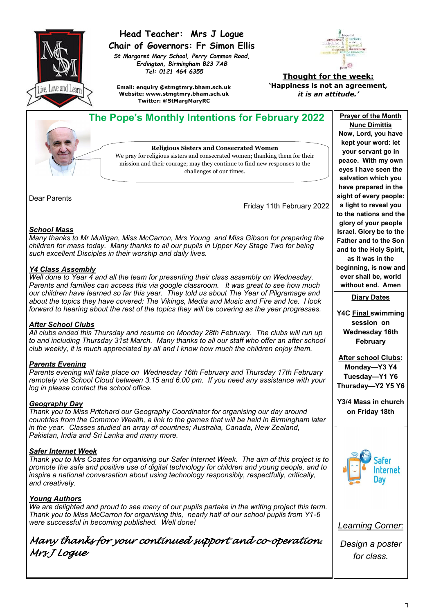

# **Head Teacher: Mrs J Logue Chair of Governors: Fr Simon Ellis**

*St Margaret Mary School, Perry Common Road, Erdington, Birmingham B23 7AB Tel: 0121 464 6355*



**Email: enquiry @stmgtmry.bham.sch.uk Website: www.stmgtmry.bham.sch.uk Twitter: @StMargMaryRC**

#### **Thought for the week: 'Happiness is not an agreement***, it is an attitude.'*

 **The Pope's Monthly Intentions for February 2022** Prayer of the Month **Nunc Dimittis Now, Lord, you have kept your word: let Religious Sisters and Consecrated Women your servant go in**  We pray for religious sisters and consecrated women; thanking them for their **peace. With my own**  mission and their courage; may they continue to find new responses to the **eyes I have seen the salvation which you have prepared in the sight of every people: a light to reveal you**  Friday 11th February 2022 **to the nations and the glory of your people Israel. Glory be to the Father and to the Son and to the Holy Spirit, as it was in the beginning, is now and ever shall be, world without end. Amen Diary Dates Y4C Final swimming session on Wednesday 16th February After school Clubs: Monday—Y3 Y4 Tuesday—Y1 Y6 Thursday—Y2 Y5 Y6 Y3/4 Mass in church on Friday 18th** Safer **Internet** Day *Learning Corner: Design a poster for class.*

#### *School Mass*

Dear Parents

*Many thanks to Mr Mulligan, Miss McCarron, Mrs Young and Miss Gibson for preparing the children for mass today. Many thanks to all our pupils in Upper Key Stage Two for being such excellent Disciples in their worship and daily lives.* 

challenges of our times.

#### *Y4 Class Assembly*

*Well done to Year 4 and all the team for presenting their class assembly on Wednesday. Parents and families can access this via google classroom. It was great to see how much our children have learned so far this year. They told us about The Year of Pilgramage and about the topics they have covered: The Vikings, Media and Music and Fire and Ice. I look forward to hearing about the rest of the topics they will be covering as the year progresses.*

## *After School Clubs*

*All clubs ended this Thursday and resume on Monday 28th February. The clubs will run up to and including Thursday 31st March. Many thanks to all our staff who offer an after school club weekly, it is much appreciated by all and I know how much the children enjoy them.*

## *Parents Evening*

*Parents evening will take place on Wednesday 16th February and Thursday 17th February remotely via School Cloud between 3.15 and 6.00 pm. If you need any assistance with your log in please contact the school office.*

#### *Geography Day*

*Thank you to Miss Pritchard our Geography Coordinator for organising our day around countries from the Common Wealth, a link to the games that will be held in Birmingham later in the year. Classes studied an array of countries; Australia, Canada, New Zealand, Pakistan, India and Sri Lanka and many more.*

## *Safer Internet Week*

*Thank you to Mrs Coates for organising our Safer Internet Week. The aim of this project is to promote the safe and positive use of digital technology for children and young people, and to inspire a national conversation about using technology responsibly, respectfully, critically, and creatively.* 

## *Young Authors*

*We are delighted and proud to see many of our pupils partake in the writing project this term. Thank you to Miss McCarron for organising this, nearly half of our school pupils from Y1-6 were successful in becoming published. Well done!*

*Many thanks for your continued support and co-operation. Mrs J Logue*